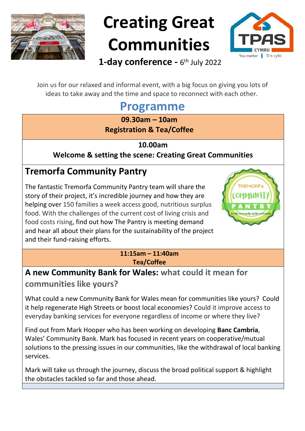

# **Creating Great Communities**



1-day conference - 6<sup>th</sup> July 2022

Join us for our relaxed and informal event, with a big focus on giving you lots of ideas to take away and the time and space to reconnect with each other.

## **Programme**

**09.30am – 10am Registration & Tea/Coffee** 

**10.00am**

**Welcome & setting the scene: Creating Great Communities**

## **Tremorfa Community Pantry**

The fantastic Tremorfa Community Pantry team will share the story of their project, it's incredible journey and how they are helping over 150 families a week access good, nutritious surplus food. With the challenges of the current cost of living crisis and food costs rising, find out how The Pantry is meeting demand and hear all about their plans for the sustainability of the project and their fund-raising efforts.



#### **11:15am – 11:40am Tea/Coffee**

#### **A new Community Bank for Wales: what could it mean for communities like yours?**

What could a new Community Bank for Wales mean for communities like yours? Could it help regenerate High Streets or boost local economies? Could it improve access to everyday banking services for everyone regardless of income or where they live?

Find out from Mark Hooper who has been working on developing **Banc Cambria**, Wales' Community Bank. Mark has focused in recent years on cooperative/mutual solutions to the pressing issues in our communities, like the withdrawal of local banking services.

Mark will take us through the journey, discuss the broad political support & highlight the obstacles tackled so far and those ahead.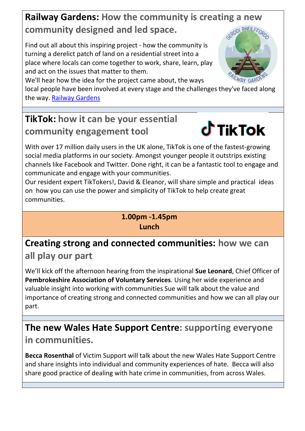## **Railway Gardens: How the community is creating a new community designed and led space.**

Find out all about this inspiring project - how the community is turning a derelict patch of land on a residential street into a place where locals can come together to work, share, learn, play and act on the issues that matter to them.

We'll hear how the idea for the project came about, the ways

local people have been involved at every stage and the challenges they've faced along the way. [Railway Gardens](https://greensquirrel.co.uk/projects/railwaygardens/)

## **TikTok: how it can be your essential community engagement tool**



With over 17 million daily users in the UK alone, TikTok is one of the fastest-growing social media platforms in our society. Amongst younger people it outstrips existing channels like Facebook and Twitter. Done right, it can be a fantastic tool to engage and communicate and engage with your communities.

Our resident expert TikTokers!, David & Eleanor, will share simple and practical ideas on how you can use the power and simplicity of TikTok to help create great communities.

> **1.00pm -1.45pm Lunch**

**Creating strong and connected communities: how we can all play our part**

We'll kick off the afternoon hearing from the inspirational **Sue Leonard**, Chief Officer of **Pembrokeshire Association of Voluntary Services**. Using her wide experience and valuable insight into working with communities Sue will talk about the value and importance of creating strong and connected communities and how we can all play our part.

## **The new Wales Hate Support Centre: supporting everyone**

**in communities.**

**Becca Rosenthal** of Victim Support will talk about the new Wales Hate Support Centre and share insights into individual and community experiences of hate. Becca will also share good practice of dealing with hate crime in communities, from across Wales.